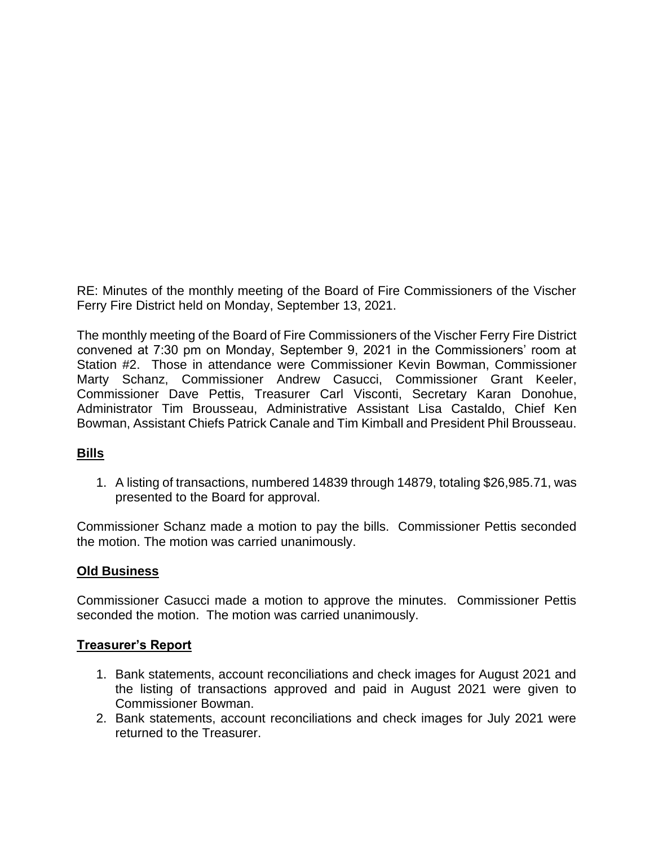RE: Minutes of the monthly meeting of the Board of Fire Commissioners of the Vischer Ferry Fire District held on Monday, September 13, 2021.

The monthly meeting of the Board of Fire Commissioners of the Vischer Ferry Fire District convened at 7:30 pm on Monday, September 9, 2021 in the Commissioners' room at Station #2. Those in attendance were Commissioner Kevin Bowman, Commissioner Marty Schanz, Commissioner Andrew Casucci, Commissioner Grant Keeler, Commissioner Dave Pettis, Treasurer Carl Visconti, Secretary Karan Donohue, Administrator Tim Brousseau, Administrative Assistant Lisa Castaldo, Chief Ken Bowman, Assistant Chiefs Patrick Canale and Tim Kimball and President Phil Brousseau.

## **Bills**

1. A listing of transactions, numbered 14839 through 14879, totaling \$26,985.71, was presented to the Board for approval.

Commissioner Schanz made a motion to pay the bills. Commissioner Pettis seconded the motion. The motion was carried unanimously.

### **Old Business**

Commissioner Casucci made a motion to approve the minutes. Commissioner Pettis seconded the motion. The motion was carried unanimously.

### **Treasurer's Report**

- 1. Bank statements, account reconciliations and check images for August 2021 and the listing of transactions approved and paid in August 2021 were given to Commissioner Bowman.
- 2. Bank statements, account reconciliations and check images for July 2021 were returned to the Treasurer.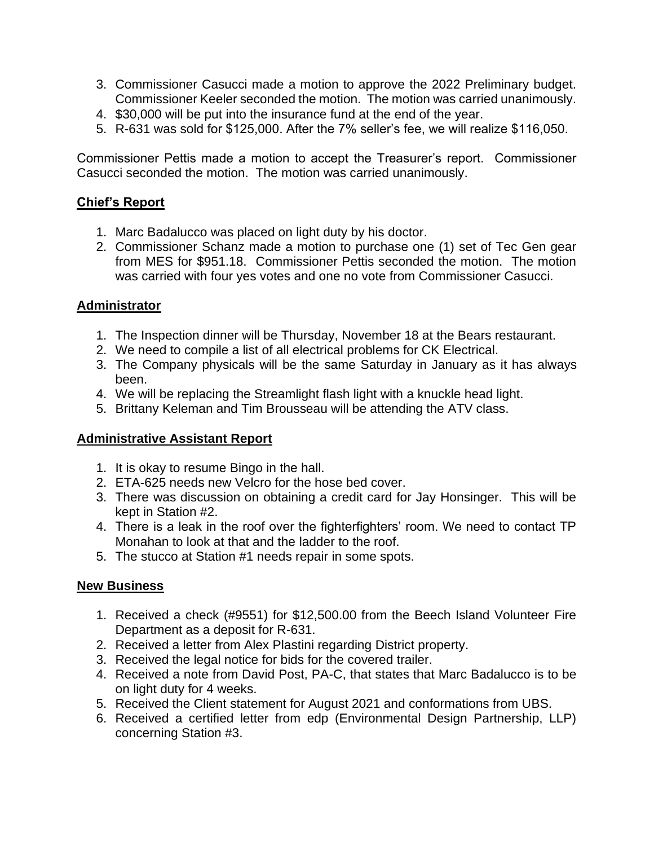- 3. Commissioner Casucci made a motion to approve the 2022 Preliminary budget. Commissioner Keeler seconded the motion. The motion was carried unanimously.
- 4. \$30,000 will be put into the insurance fund at the end of the year.
- 5. R-631 was sold for \$125,000. After the 7% seller's fee, we will realize \$116,050.

Commissioner Pettis made a motion to accept the Treasurer's report. Commissioner Casucci seconded the motion. The motion was carried unanimously.

# **Chief's Report**

- 1. Marc Badalucco was placed on light duty by his doctor.
- 2. Commissioner Schanz made a motion to purchase one (1) set of Tec Gen gear from MES for \$951.18. Commissioner Pettis seconded the motion. The motion was carried with four yes votes and one no vote from Commissioner Casucci.

## **Administrator**

- 1. The Inspection dinner will be Thursday, November 18 at the Bears restaurant.
- 2. We need to compile a list of all electrical problems for CK Electrical.
- 3. The Company physicals will be the same Saturday in January as it has always been.
- 4. We will be replacing the Streamlight flash light with a knuckle head light.
- 5. Brittany Keleman and Tim Brousseau will be attending the ATV class.

## **Administrative Assistant Report**

- 1. It is okay to resume Bingo in the hall.
- 2. ETA-625 needs new Velcro for the hose bed cover.
- 3. There was discussion on obtaining a credit card for Jay Honsinger. This will be kept in Station #2.
- 4. There is a leak in the roof over the fighterfighters' room. We need to contact TP Monahan to look at that and the ladder to the roof.
- 5. The stucco at Station #1 needs repair in some spots.

## **New Business**

- 1. Received a check (#9551) for \$12,500.00 from the Beech Island Volunteer Fire Department as a deposit for R-631.
- 2. Received a letter from Alex Plastini regarding District property.
- 3. Received the legal notice for bids for the covered trailer.
- 4. Received a note from David Post, PA-C, that states that Marc Badalucco is to be on light duty for 4 weeks.
- 5. Received the Client statement for August 2021 and conformations from UBS.
- 6. Received a certified letter from edp (Environmental Design Partnership, LLP) concerning Station #3.